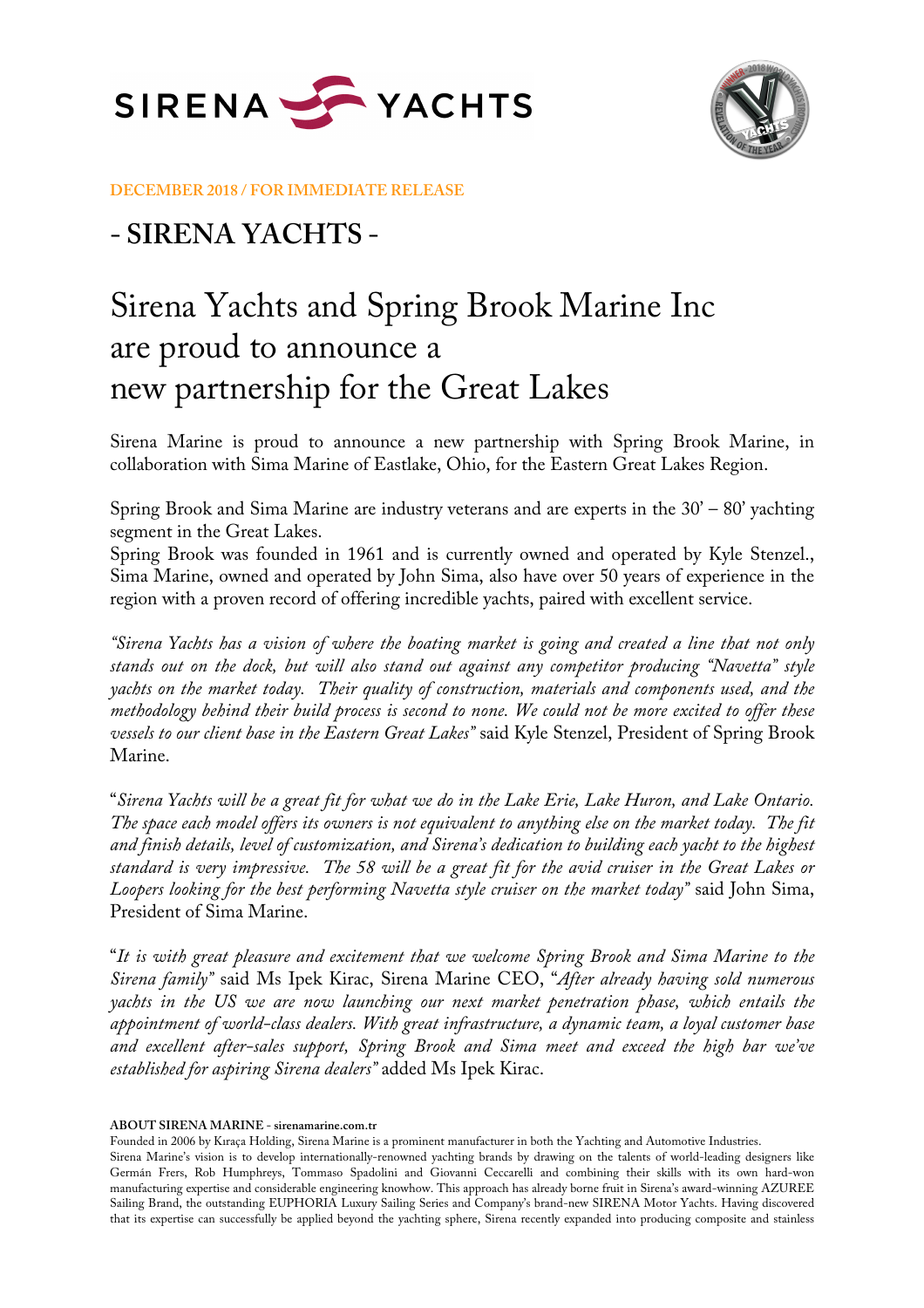



**DECEMBER 2018 / FOR IMMEDIATE RELEASE**

## **- SIRENA YACHTS -**

## Sirena Yachts and Spring Brook Marine Inc are proud to announce a new partnership for the Great Lakes

Sirena Marine is proud to announce a new partnership with Spring Brook Marine, in collaboration with Sima Marine of Eastlake, Ohio, for the Eastern Great Lakes Region.

Spring Brook and Sima Marine are industry veterans and are experts in the 30' – 80' yachting segment in the Great Lakes.

Spring Brook was founded in 1961 and is currently owned and operated by Kyle Stenzel., Sima Marine, owned and operated by John Sima, also have over 50 years of experience in the region with a proven record of offering incredible yachts, paired with excellent service.

*"Sirena Yachts has a vision of where the boating market is going and created a line that not only stands out on the dock, but will also stand out against any competitor producing "Navetta" style yachts on the market today. Their quality of construction, materials and components used, and the methodology behind their build process is second to none. We could not be more excited to offer these vessels to our client base in the Eastern Great Lakes"* said Kyle Stenzel, President of Spring Brook Marine.

"*Sirena Yachts will be a great fit for what we do in the Lake Erie, Lake Huron, and Lake Ontario. The space each model offers its owners is not equivalent to anything else on the market today. The fit and finish details, level of customization, and Sirena's dedication to building each yacht to the highest standard is very impressive. The 58 will be a great fit for the avid cruiser in the Great Lakes or Loopers looking for the best performing Navetta style cruiser on the market today"* said John Sima, President of Sima Marine.

"*It is with great pleasure and excitement that we welcome Spring Brook and Sima Marine to the Sirena family"* said Ms Ipek Kirac, Sirena Marine CEO, "*After already having sold numerous yachts in the US we are now launching our next market penetration phase, which entails the appointment of world-class dealers. With great infrastructure, a dynamic team, a loyal customer base and excellent after-sales support, Spring Brook and Sima meet and exceed the high bar we've established for aspiring Sirena dealers"* added Ms Ipek Kirac.

**ABOUT SIRENA MARINE - sirenamarine.com.tr**

Founded in 2006 by Kıraça Holding, Sirena Marine is a prominent manufacturer in both the Yachting and Automotive Industries.

Sirena Marine's vision is to develop internationally-renowned yachting brands by drawing on the talents of world-leading designers like Germán Frers, Rob Humphreys, Tommaso Spadolini and Giovanni Ceccarelli and combining their skills with its own hard-won manufacturing expertise and considerable engineering knowhow. This approach has already borne fruit in Sirena's award-winning AZUREE Sailing Brand, the outstanding EUPHORIA Luxury Sailing Series and Company's brand-new SIRENA Motor Yachts. Having discovered that its expertise can successfully be applied beyond the yachting sphere, Sirena recently expanded into producing composite and stainless